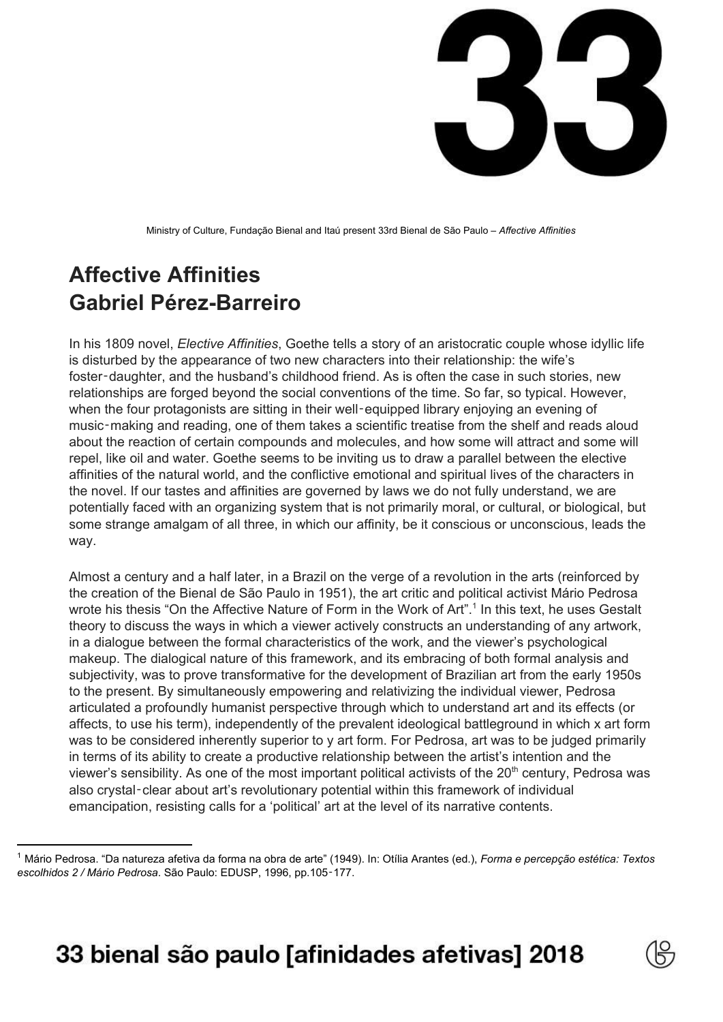

Ministry of Culture, Fundação Bienal and Itaú present 33rd Bienal de São Paulo – *Affective Affinities*

## **Affective Affinities Gabriel Pérez-Barreiro**

In his 1809 novel, *Elective Affinities*, Goethe tells a story of an aristocratic couple whose idyllic life is disturbed by the appearance of two new characters into their relationship: the wife's foster-daughter, and the husband's childhood friend. As is often the case in such stories, new relationships are forged beyond the social conventions of the time. So far, so typical. However, when the four protagonists are sitting in their well-equipped library enjoying an evening of music‑making and reading, one of them takes a scientific treatise from the shelf and reads aloud about the reaction of certain compounds and molecules, and how some will attract and some will repel, like oil and water. Goethe seems to be inviting us to draw a parallel between the elective affinities of the natural world, and the conflictive emotional and spiritual lives of the characters in the novel. If our tastes and affinities are governed by laws we do not fully understand, we are potentially faced with an organizing system that is not primarily moral, or cultural, or biological, but some strange amalgam of all three, in which our affinity, be it conscious or unconscious, leads the way.

Almost a century and a half later, in a Brazil on the verge of a revolution in the arts (reinforced by the creation of the Bienal de São Paulo in 1951), the art critic and political activist Mário Pedrosa wrote his thesis "On the Affective Nature of Form in the Work of Art".<sup>1</sup> In this text, he uses Gestalt theory to discuss the ways in which a viewer actively constructs an understanding of any artwork, in a dialogue between the formal characteristics of the work, and the viewer's psychological makeup. The dialogical nature of this framework, and its embracing of both formal analysis and subjectivity, was to prove transformative for the development of Brazilian art from the early 1950s to the present. By simultaneously empowering and relativizing the individual viewer, Pedrosa articulated a profoundly humanist perspective through which to understand art and its effects (or affects, to use his term), independently of the prevalent ideological battleground in which x art form was to be considered inherently superior to y art form. For Pedrosa, art was to be judged primarily in terms of its ability to create a productive relationship between the artist's intention and the viewer's sensibility. As one of the most important political activists of the 20<sup>th</sup> century, Pedrosa was also crystal‑clear about art's revolutionary potential within this framework of individual emancipation, resisting calls for a 'political' art at the level of its narrative contents.



<sup>1</sup> Mário Pedrosa. "Da natureza afetiva da forma na obra de arte" (1949). In: Otília Arantes (ed.), *Forma e percepção estética: Textos escolhidos 2 / Mário Pedrosa*. São Paulo: EDUSP, 1996, pp.105‑177.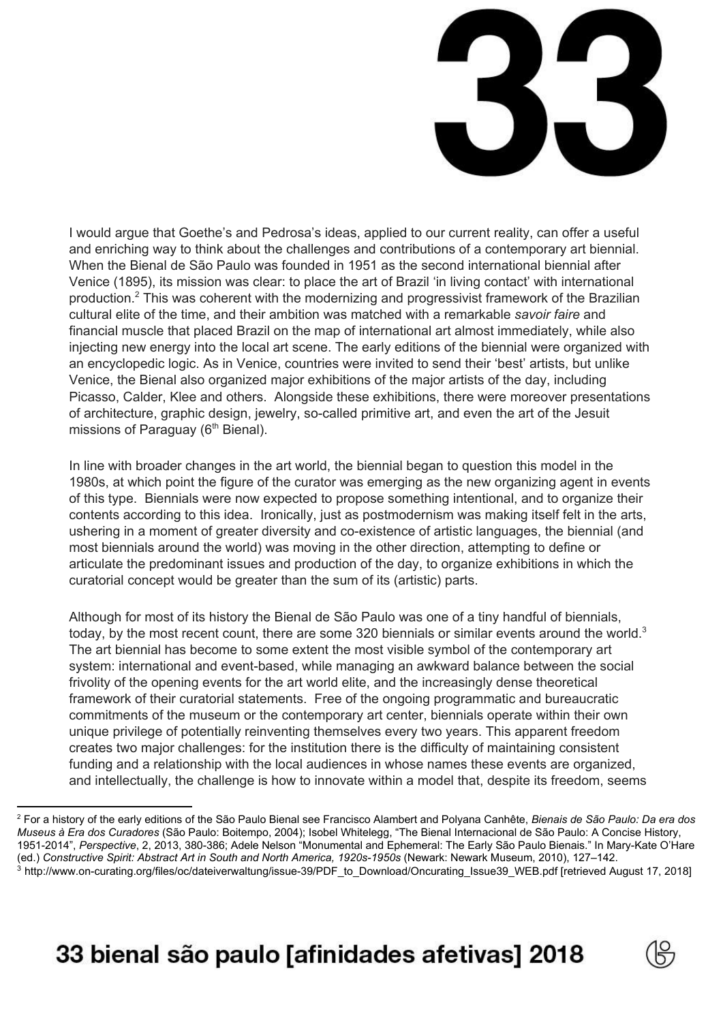

I would argue that Goethe's and Pedrosa's ideas, applied to our current reality, can offer a useful and enriching way to think about the challenges and contributions of a contemporary art biennial. When the Bienal de São Paulo was founded in 1951 as the second international biennial after Venice (1895), its mission was clear: to place the art of Brazil 'in living contact' with international production.<sup>2</sup> This was coherent with the modernizing and progressivist framework of the Brazilian cultural elite of the time, and their ambition was matched with a remarkable *savoir faire* and financial muscle that placed Brazil on the map of international art almost immediately, while also injecting new energy into the local art scene. The early editions of the biennial were organized with an encyclopedic logic. As in Venice, countries were invited to send their 'best' artists, but unlike Venice, the Bienal also organized major exhibitions of the major artists of the day, including Picasso, Calder, Klee and others. Alongside these exhibitions, there were moreover presentations of architecture, graphic design, jewelry, so-called primitive art, and even the art of the Jesuit missions of Paraguay (6<sup>th</sup> Bienal).

In line with broader changes in the art world, the biennial began to question this model in the 1980s, at which point the figure of the curator was emerging as the new organizing agent in events of this type. Biennials were now expected to propose something intentional, and to organize their contents according to this idea. Ironically, just as postmodernism was making itself felt in the arts, ushering in a moment of greater diversity and co-existence of artistic languages, the biennial (and most biennials around the world) was moving in the other direction, attempting to define or articulate the predominant issues and production of the day, to organize exhibitions in which the curatorial concept would be greater than the sum of its (artistic) parts.

Although for most of its history the Bienal de São Paulo was one of a tiny handful of biennials, today, by the most recent count, there are some 320 biennials or similar events around the world.<sup>3</sup> The art biennial has become to some extent the most visible symbol of the contemporary art system: international and event-based, while managing an awkward balance between the social frivolity of the opening events for the art world elite, and the increasingly dense theoretical framework of their curatorial statements. Free of the ongoing programmatic and bureaucratic commitments of the museum or the contemporary art center, biennials operate within their own unique privilege of potentially reinventing themselves every two years. This apparent freedom creates two major challenges: for the institution there is the difficulty of maintaining consistent funding and a relationship with the local audiences in whose names these events are organized, and intellectually, the challenge is how to innovate within a model that, despite its freedom, seems



<sup>2</sup> For a history of the early editions of the São Paulo Bienal see Francisco Alambert and Polyana Canhête, *Bienais de São Paulo: Da era dos Museus à Era dos Curadores* (São Paulo: Boitempo, 2004); Isobel Whitelegg, "The Bienal Internacional de São Paulo: A Concise History, 1951-2014", *Perspective*, 2, 2013, 380-386; Adele Nelson "Monumental and Ephemeral: The Early São Paulo Bienais." In Mary-Kate O'Hare (ed.) *Constructive Spirit: Abstract Art in South and North America, 1920s-1950s* (Newark: Newark Museum, 2010), 127–142. <sup>3</sup> [http://www.on-curating.org/files/oc/dateiverwaltung/issue-39/PDF\\_to\\_Download/Oncurating\\_Issue39\\_WEB.pdf](http://www.on-curating.org/files/oc/dateiverwaltung/issue-39/PDF_to_Download/Oncurating_Issue39_WEB.pdf) [retrieved August 17, 2018]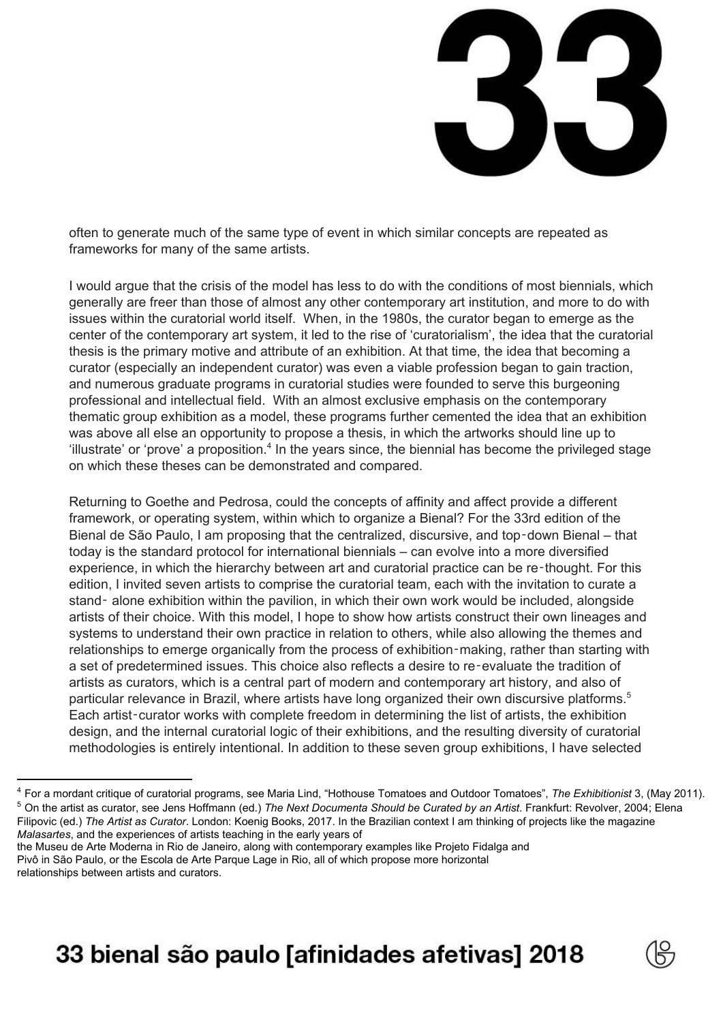

often to generate much of the same type of event in which similar concepts are repeated as frameworks for many of the same artists.

I would argue that the crisis of the model has less to do with the conditions of most biennials, which generally are freer than those of almost any other contemporary art institution, and more to do with issues within the curatorial world itself. When, in the 1980s, the curator began to emerge as the center of the contemporary art system, it led to the rise of 'curatorialism', the idea that the curatorial thesis is the primary motive and attribute of an exhibition. At that time, the idea that becoming a curator (especially an independent curator) was even a viable profession began to gain traction, and numerous graduate programs in curatorial studies were founded to serve this burgeoning professional and intellectual field. With an almost exclusive emphasis on the contemporary thematic group exhibition as a model, these programs further cemented the idea that an exhibition was above all else an opportunity to propose a thesis, in which the artworks should line up to 'illustrate' or 'prove' a proposition. $4$  In the years since, the biennial has become the privileged stage on which these theses can be demonstrated and compared.

Returning to Goethe and Pedrosa, could the concepts of affinity and affect provide a different framework, or operating system, within which to organize a Bienal? For the 33rd edition of the Bienal de São Paulo, I am proposing that the centralized, discursive, and top-down Bienal – that today is the standard protocol for international biennials – can evolve into a more diversified experience, in which the hierarchy between art and curatorial practice can be re‑thought. For this edition, I invited seven artists to comprise the curatorial team, each with the invitation to curate a stand- alone exhibition within the pavilion, in which their own work would be included, alongside artists of their choice. With this model, I hope to show how artists construct their own lineages and systems to understand their own practice in relation to others, while also allowing the themes and relationships to emerge organically from the process of exhibition–making, rather than starting with a set of predetermined issues. This choice also reflects a desire to re‑evaluate the tradition of artists as curators, which is a central part of modern and contemporary art history, and also of particular relevance in Brazil, where artists have long organized their own discursive platforms. 5 Each artist-curator works with complete freedom in determining the list of artists, the exhibition design, and the internal curatorial logic of their exhibitions, and the resulting diversity of curatorial methodologies is entirely intentional. In addition to these seven group exhibitions, I have selected



<sup>4</sup> For a mordant critique of curatorial programs, see Maria Lind, "Hothouse Tomatoes and Outdoor Tomatoes", *The Exhibitionist* 3, (May 2011). <sup>5</sup> On the artist as curator, see Jens Hoffmann (ed.) *The Next Documenta Should be Curated by an Artist*. Frankfurt: Revolver, 2004; Elena Filipovic (ed.) *The Artist as Curator*. London: Koenig Books, 2017. In the Brazilian context I am thinking of projects like the magazine *Malasartes*, and the experiences of artists teaching in the early years of

the Museu de Arte Moderna in Rio de Janeiro, along with contemporary examples like Projeto Fidalga and Pivô in São Paulo, or the Escola de Arte Parque Lage in Rio, all of which propose more horizontal relationships between artists and curators.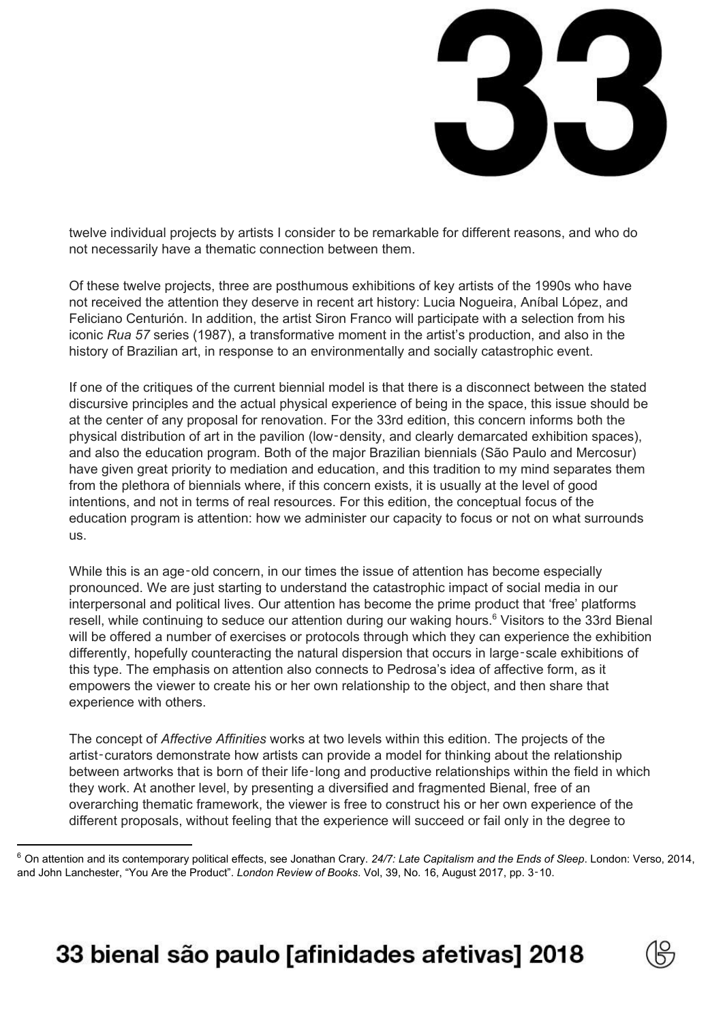

twelve individual projects by artists I consider to be remarkable for different reasons, and who do not necessarily have a thematic connection between them.

Of these twelve projects, three are posthumous exhibitions of key artists of the 1990s who have not received the attention they deserve in recent art history: Lucia Nogueira, Aníbal López, and Feliciano Centurión. In addition, the artist Siron Franco will participate with a selection from his iconic *Rua 57* series (1987), a transformative moment in the artist's production, and also in the history of Brazilian art, in response to an environmentally and socially catastrophic event.

If one of the critiques of the current biennial model is that there is a disconnect between the stated discursive principles and the actual physical experience of being in the space, this issue should be at the center of any proposal for renovation. For the 33rd edition, this concern informs both the physical distribution of art in the pavilion (low‑density, and clearly demarcated exhibition spaces), and also the education program. Both of the major Brazilian biennials (São Paulo and Mercosur) have given great priority to mediation and education, and this tradition to my mind separates them from the plethora of biennials where, if this concern exists, it is usually at the level of good intentions, and not in terms of real resources. For this edition, the conceptual focus of the education program is attention: how we administer our capacity to focus or not on what surrounds us.

While this is an age-old concern, in our times the issue of attention has become especially pronounced. We are just starting to understand the catastrophic impact of social media in our interpersonal and political lives. Our attention has become the prime product that 'free' platforms resell, while continuing to seduce our attention during our waking hours.<sup>6</sup> Visitors to the 33rd Bienal will be offered a number of exercises or protocols through which they can experience the exhibition differently, hopefully counteracting the natural dispersion that occurs in large‑scale exhibitions of this type. The emphasis on attention also connects to Pedrosa's idea of affective form, as it empowers the viewer to create his or her own relationship to the object, and then share that experience with others.

The concept of *Affective Affinities* works at two levels within this edition. The projects of the artist‑curators demonstrate how artists can provide a model for thinking about the relationship between artworks that is born of their life-long and productive relationships within the field in which they work. At another level, by presenting a diversified and fragmented Bienal, free of an overarching thematic framework, the viewer is free to construct his or her own experience of the different proposals, without feeling that the experience will succeed or fail only in the degree to



<sup>6</sup> On attention and its contemporary political effects, see Jonathan Crary. *24/7: Late Capitalism and the Ends of Sleep*. London: Verso, 2014, and John Lanchester, "You Are the Product". *London Review of Books*. Vol, 39, No. 16, August 2017, pp. 3‑10.